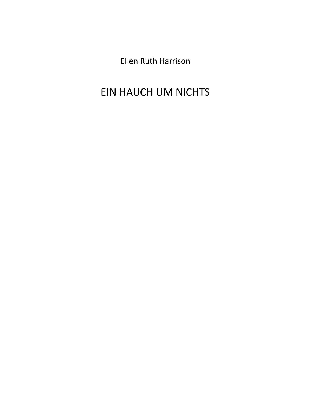Ellen Ruth Harrison

## EIN HAUCH UM NICHTS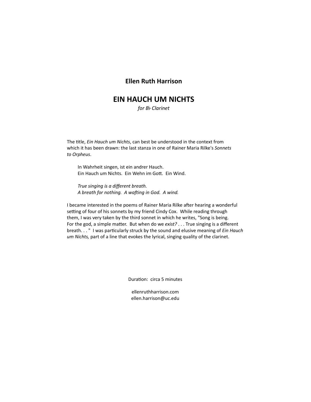## **Ellen Ruth Harrison**

## **EIN HAUCH UM NICHTS**

*for B*b *Clarinet*

The title, *Ein Hauch um Nichts*, can best be understood in the context from which it has been drawn: the last stanza in one of Rainer Maria Rilke's Sonnets *to Orpheus*. 

In Wahrheit singen, ist ein andrer Hauch. Ein Hauch um Nichts. Ein Wehn im Gott. Ein Wind.

*True singing is a different breath.* A breath for nothing. A wafting in God. A wind.

I became interested in the poems of Rainer Maria Rilke after hearing a wonderful setting of four of his sonnets by my friend Cindy Cox. While reading through them, I was very taken by the third sonnet in which he writes, "Song is being. For the god, a simple matter. But when do we *exist?* . . . True singing is a different breath..." I was particularly struck by the sound and elusive meaning of *Ein Hauch um* Nichts, part of a line that evokes the lyrical, singing quality of the clarinet.

Duration: circa 5 minutes

ellenruthharrison.com ellen.harrison@uc.edu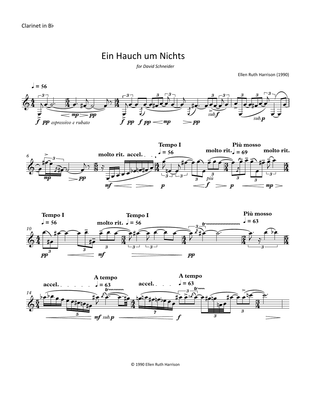## Ein Hauch um Nichts

*for David Schneider*

Ellen Ruth Harrison (1990)









© 1990 Ellen Ruth Harrison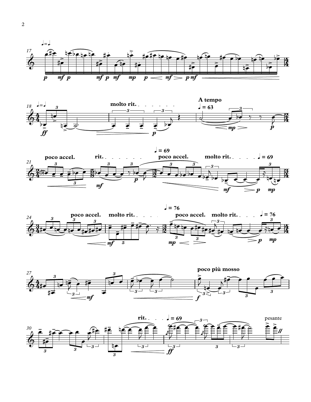









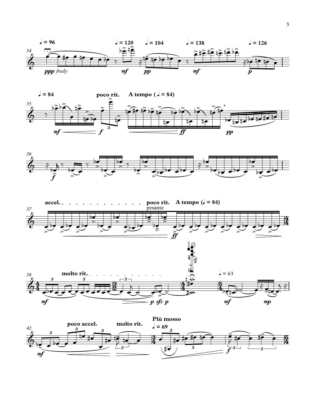